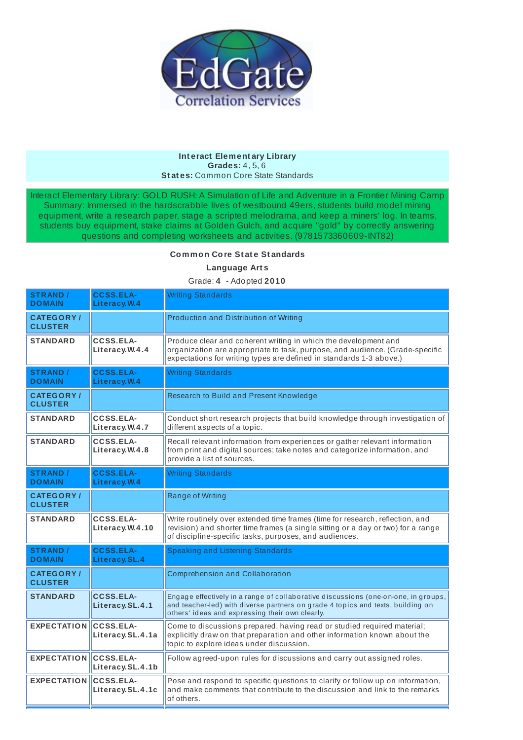

## **Int eract Element ary Library Grades:** 4, 5, 6 **St at es:** Common Core State Standards

Interact Elementary Library: GOLD RUSH: A Simulation of Life and Adventure in a Frontier Mining Camp Summary: Immersed in the hardscrabble lives of westbound 49ers, students build model mining equipment, write a research paper, stage a scripted melodrama, and keep a miners' log. In teams, students buy equipment, stake claims at Golden Gulch, and acquire "gold" by correctly answering questions and completing worksheets and activities. (9781573360609-INT82)

## **Common Core St at e St andards**

**Language Art s**

Grade: **4** - Adopted **2010**

| <b>STRAND /</b><br><b>DOMAIN</b>   | <b>CCSS.ELA-</b><br>Literacy.W.4     | <b>Writing Standards</b>                                                                                                                                                                                                    |
|------------------------------------|--------------------------------------|-----------------------------------------------------------------------------------------------------------------------------------------------------------------------------------------------------------------------------|
| <b>CATEGORY/</b><br><b>CLUSTER</b> |                                      | Production and Distribution of Writing                                                                                                                                                                                      |
| <b>STANDARD</b>                    | <b>CCSS.ELA-</b><br>Literacy.W.4.4   | Produce clear and coherent writing in which the development and<br>organization are appropriate to task, purpose, and audience. (Grade-specific<br>expectations for writing types are defined in standards 1-3 above.)      |
| <b>STRAND /</b><br><b>DOMAIN</b>   | <b>CCSS.ELA-</b><br>Literacy. W.4    | <b>Writing Standards</b>                                                                                                                                                                                                    |
| <b>CATEGORY/</b><br><b>CLUSTER</b> |                                      | Research to Build and Present Knowledge                                                                                                                                                                                     |
| <b>STANDARD</b>                    | <b>CCSS.ELA-</b><br>Literacy.W.4.7   | Conduct short research projects that build knowledge through investigation of<br>different aspects of a topic.                                                                                                              |
| <b>STANDARD</b>                    | <b>CCSS.ELA-</b><br>Literacy.W.4.8   | Recall relevant information from experiences or gather relevant information<br>from print and digital sources; take notes and categorize information, and<br>provide a list of sources.                                     |
| <b>STRAND /</b><br><b>DOMAIN</b>   | <b>CCSS.ELA-</b><br>Literacy.W.4     | <b>Writing Standards</b>                                                                                                                                                                                                    |
| <b>CATEGORY/</b><br><b>CLUSTER</b> |                                      | <b>Range of Writing</b>                                                                                                                                                                                                     |
| <b>STANDARD</b>                    | <b>CCSS.ELA-</b><br>Literacy.W.4.10  | Write routinely over extended time frames (time for research, reflection, and<br>revision) and shorter time frames (a single sitting or a day or two) for a range<br>of discipline-specific tasks, purposes, and audiences. |
| <b>STRAND /</b><br><b>DOMAIN</b>   | <b>CCSS.ELA-</b><br>Literacy.SL.4    | Speaking and Listening Standards                                                                                                                                                                                            |
| <b>CATEGORY/</b><br><b>CLUSTER</b> |                                      | <b>Comprehension and Collaboration</b>                                                                                                                                                                                      |
| <b>STANDARD</b>                    | <b>CCSS.ELA-</b><br>Literacy.SL.4.1  | Engage effectively in a range of collaborative discussions (one-on-one, in groups,<br>and teacher-led) with diverse partners on grade 4 topics and texts, building on<br>others' ideas and expressing their own clearly.    |
| <b>EXPECTATION</b>                 | <b>CCSS.ELA-</b><br>Literacy.SL.4.1a | Come to discussions prepared, having read or studied required material;<br>explicitly draw on that preparation and other information known about the<br>topic to explore ideas under discussion.                            |
| <b>EXPECTATION</b>                 | <b>CCSS.ELA-</b><br>Literacy.SL.4.1b | Follow agreed-upon rules for discussions and carry out assigned roles.                                                                                                                                                      |
| <b>EXPECTATION</b>                 | <b>CCSS.ELA-</b><br>Literacy.SL.4.1c | Pose and respond to specific questions to clarify or follow up on information,<br>and make comments that contribute to the discussion and link to the remarks<br>of others.                                                 |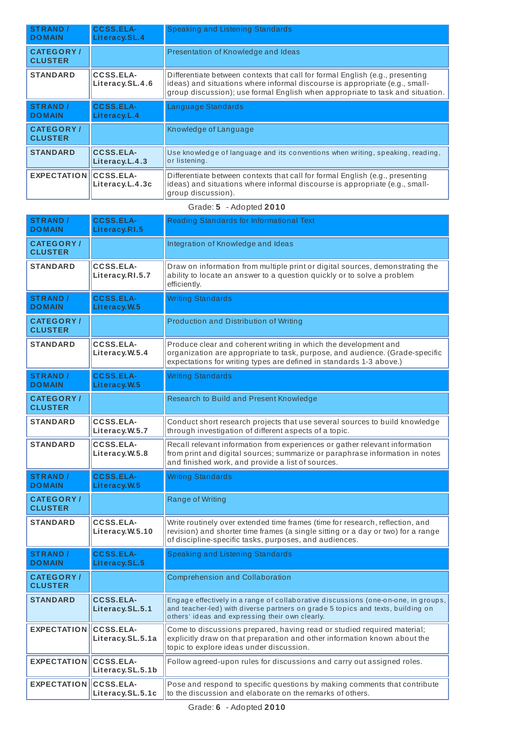| <b>STRAND /</b><br><b>DOMAIN</b>   | <b>CCSS.ELA-</b><br>Literacy.SL.4  | Speaking and Listening Standards                                                                                                                                                                                                              |
|------------------------------------|------------------------------------|-----------------------------------------------------------------------------------------------------------------------------------------------------------------------------------------------------------------------------------------------|
| <b>CATEGORY/</b><br><b>CLUSTER</b> |                                    | Presentation of Knowledge and Ideas                                                                                                                                                                                                           |
| <b>STANDARD</b>                    | CCSS.ELA-<br>Literacy.SL.4.6       | Differentiate between contexts that call for formal English (e.g., presenting<br>ideas) and situations where informal discourse is appropriate (e.g., small-<br>group discussion); use formal English when appropriate to task and situation. |
| <b>STRAND /</b><br><b>DOMAIN</b>   | <b>CCSS.ELA-</b><br>Literacy.L.4   | Language Standards                                                                                                                                                                                                                            |
| <b>CATEGORY/</b><br><b>CLUSTER</b> |                                    | Knowledge of Language                                                                                                                                                                                                                         |
| <b>STANDARD</b>                    | <b>CCSS.ELA-</b><br>Literacy.L.4.3 | Use knowledge of language and its conventions when writing, speaking, reading,<br>or listening.                                                                                                                                               |
| <b>EXPECTATION CCSS.ELA-</b>       | Literacy.L.4.3c                    | Differentiate between contexts that call for formal English (e.g., presenting<br>ideas) and situations where informal discourse is appropriate (e.g., small-<br>group discussion).                                                            |

## Grade: **5** - Adopted **2010**

| <b>STRAND /</b><br><b>DOMAIN</b>    | <b>CCSS.ELA-</b><br>Literacy.RI.5    | Reading Standards for Informational Text                                                                                                                                                                                    |
|-------------------------------------|--------------------------------------|-----------------------------------------------------------------------------------------------------------------------------------------------------------------------------------------------------------------------------|
| <b>CATEGORY/</b><br><b>CLUSTER</b>  |                                      | Integration of Knowledge and Ideas                                                                                                                                                                                          |
| STANDARD                            | <b>CCSS.ELA-</b><br>Literacy.RI.5.7  | Draw on information from multiple print or digital sources, demonstrating the<br>ability to locate an answer to a question quickly or to solve a problem<br>efficiently.                                                    |
| <b>STRAND /</b><br><b>DOMAIN</b>    | <b>CCSS.ELA-</b><br>Literacy.W.5     | <b>Writing Standards</b>                                                                                                                                                                                                    |
| <b>CATEGORY /</b><br><b>CLUSTER</b> |                                      | Production and Distribution of Writing                                                                                                                                                                                      |
| <b>STANDARD</b>                     | <b>CCSS.ELA-</b><br>Literacy.W.5.4   | Produce clear and coherent writing in which the development and<br>organization are appropriate to task, purpose, and audience. (Grade-specific<br>expectations for writing types are defined in standards 1-3 above.)      |
| <b>STRAND /</b><br><b>DOMAIN</b>    | <b>CCSS.ELA-</b><br>Literacy.W.5     | <b>Writing Standards</b>                                                                                                                                                                                                    |
| <b>CATEGORY/</b><br><b>CLUSTER</b>  |                                      | Research to Build and Present Knowledge                                                                                                                                                                                     |
| <b>STANDARD</b>                     | <b>CCSS.ELA-</b><br>Literacy.W.5.7   | Conduct short research projects that use several sources to build knowledge<br>through investigation of different aspects of a topic.                                                                                       |
| <b>STANDARD</b>                     | <b>CCSS.ELA-</b><br>Literacy.W.5.8   | Recall relevant information from experiences or gather relevant information<br>from print and digital sources; summarize or paraphrase information in notes                                                                 |
|                                     |                                      | and finished work, and provide a list of sources.                                                                                                                                                                           |
| <b>STRAND /</b><br><b>DOMAIN</b>    | <b>CCSS.ELA-</b><br>Literacy.W.5     | <b>Writing Standards</b>                                                                                                                                                                                                    |
| <b>CATEGORY/</b><br><b>CLUSTER</b>  |                                      | <b>Range of Writing</b>                                                                                                                                                                                                     |
| <b>STANDARD</b>                     | <b>CCSS.ELA-</b><br>Literacy.W.5.10  | Write routinely over extended time frames (time for research, reflection, and<br>revision) and shorter time frames (a single sitting or a day or two) for a range<br>of discipline-specific tasks, purposes, and audiences. |
| <b>STRAND /</b><br><b>DOMAIN</b>    | <b>CCSS.ELA-</b><br>Literacy.SL.5    | <b>Speaking and Listening Standards</b>                                                                                                                                                                                     |
| <b>CATEGORY/</b><br><b>CLUSTER</b>  |                                      | <b>Comprehension and Collaboration</b>                                                                                                                                                                                      |
| <b>STANDARD</b>                     | <b>CCSS.ELA-</b><br>Literacy.SL.5.1  | Engage effectively in a range of collaborative discussions (one-on-one, in groups,<br>and teacher-led) with diverse partners on grade 5 topics and texts, building on<br>others' ideas and expressing their own clearly.    |
| <b>EXPECTATION</b>                  | CCSS.ELA-<br>Literacy.SL.5.1a        | Come to discussions prepared, having read or studied required material;<br>explicitly draw on that preparation and other information known about the<br>topic to explore ideas under discussion.                            |
| <b>EXPECTATION</b>                  | <b>CCSS.ELA-</b><br>Literacy.SL.5.1b | Follow agreed-upon rules for discussions and carry out assigned roles.                                                                                                                                                      |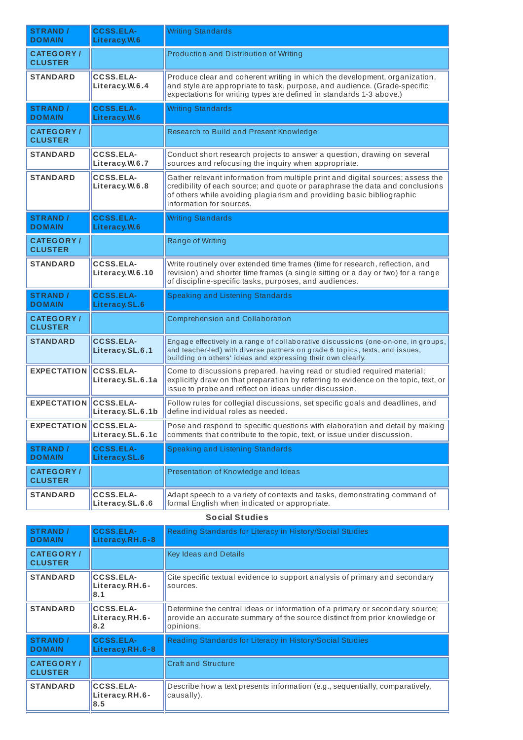| <b>STRAND /</b><br><b>DOMAIN</b>   | <b>CCSS.ELA-</b><br>Literacy.W.6     | <b>Writing Standards</b>                                                                                                                                                                                                                                             |
|------------------------------------|--------------------------------------|----------------------------------------------------------------------------------------------------------------------------------------------------------------------------------------------------------------------------------------------------------------------|
| <b>CATEGORY/</b><br><b>CLUSTER</b> |                                      | Production and Distribution of Writing                                                                                                                                                                                                                               |
| <b>STANDARD</b>                    | <b>CCSS.ELA-</b><br>Literacy.W.6.4   | Produce clear and coherent writing in which the development, organization,<br>and style are appropriate to task, purpose, and audience. (Grade-specific<br>expectations for writing types are defined in standards 1-3 above.)                                       |
| <b>STRAND /</b><br><b>DOMAIN</b>   | <b>CCSS.ELA-</b><br>Literacy.W.6     | <b>Writing Standards</b>                                                                                                                                                                                                                                             |
| <b>CATEGORY/</b><br><b>CLUSTER</b> |                                      | Research to Build and Present Knowledge                                                                                                                                                                                                                              |
| <b>STANDARD</b>                    | <b>CCSS.ELA-</b><br>Literacy.W.6.7   | Conduct short research projects to answer a question, drawing on several<br>sources and refocusing the inquiry when appropriate.                                                                                                                                     |
| <b>STANDARD</b>                    | <b>CCSS.ELA-</b><br>Literacy.W.6.8   | Gather relevant information from multiple print and digital sources; assess the<br>credibility of each source; and quote or paraphrase the data and conclusions<br>of others while avoiding plagiarism and providing basic bibliographic<br>information for sources. |
| <b>STRAND /</b><br><b>DOMAIN</b>   | <b>CCSS.ELA-</b><br>Literacy.W.6     | <b>Writing Standards</b>                                                                                                                                                                                                                                             |
| <b>CATEGORY/</b><br><b>CLUSTER</b> |                                      | Range of Writing                                                                                                                                                                                                                                                     |
| <b>STANDARD</b>                    | <b>CCSS.ELA-</b><br>Literacy.W.6.10  | Write routinely over extended time frames (time for research, reflection, and<br>revision) and shorter time frames (a single sitting or a day or two) for a range<br>of discipline-specific tasks, purposes, and audiences.                                          |
| <b>STRAND /</b><br><b>DOMAIN</b>   | <b>CCSS.ELA-</b><br>Literacy.SL.6    | Speaking and Listening Standards                                                                                                                                                                                                                                     |
| <b>CATEGORY/</b><br><b>CLUSTER</b> |                                      | <b>Comprehension and Collaboration</b>                                                                                                                                                                                                                               |
| <b>STANDARD</b>                    | <b>CCSS.ELA-</b><br>Literacy.SL.6.1  | Engage effectively in a range of collaborative discussions (one-on-one, in groups,<br>and teacher-led) with diverse partners on grade 6 topics, texts, and issues,<br>building on others' ideas and expressing their own clearly.                                    |
| <b>EXPECTATION</b>                 | <b>CCSS.ELA-</b><br>Literacy.SL.6.1a | Come to discussions prepared, having read or studied required material;<br>explicitly draw on that preparation by referring to evidence on the topic, text, or<br>issue to probe and reflect on ideas under discussion.                                              |
| <b>EXPECTATION</b>                 | <b>CCSS.ELA-</b><br>Literacy.SL.6.1b | Follow rules for collegial discussions, set specific goals and deadlines, and<br>define individual roles as needed.                                                                                                                                                  |
| <b>EXPECTATION</b>                 | <b>CCSS.ELA-</b><br>Literacy.SL.6.1c | Pose and respond to specific questions with elaboration and detail by making<br>comments that contribute to the topic, text, or issue under discussion.                                                                                                              |
| <b>STRAND /</b><br><b>DOMAIN</b>   | <b>CCSS.ELA-</b><br>Literacy.SL.6    | <b>Speaking and Listening Standards</b>                                                                                                                                                                                                                              |
| <b>CATEGORY/</b><br><b>CLUSTER</b> |                                      | Presentation of Knowledge and Ideas                                                                                                                                                                                                                                  |
| <b>STANDARD</b>                    | <b>CCSS.ELA-</b><br>Literacy.SL.6.6  | Adapt speech to a variety of contexts and tasks, demonstrating command of<br>formal English when indicated or appropriate.                                                                                                                                           |

## **Social St udies**

| <b>STRAND</b> /<br><b>DOMAIN</b>    | <b>CCSS.ELA-</b><br>Literacy.RH.6-8       | Reading Standards for Literacy in History/Social Studies                                                                                                                |
|-------------------------------------|-------------------------------------------|-------------------------------------------------------------------------------------------------------------------------------------------------------------------------|
| <b>CATEGORY</b> /<br><b>CLUSTER</b> |                                           | Key Ideas and Details                                                                                                                                                   |
| <b>STANDARD</b>                     | <b>CCSS.ELA-</b><br>Literacy.RH.6-<br>8.1 | Cite specific textual evidence to support analysis of primary and secondary<br>sources.                                                                                 |
| <b>STANDARD</b>                     | CCSS.ELA-<br>Literacy.RH.6-<br>8.2        | Determine the central ideas or information of a primary or secondary source;<br>provide an accurate summary of the source distinct from prior knowledge or<br>opinions. |
| <b>STRAND /</b><br><b>DOMAIN</b>    | <b>CCSS.ELA-</b><br>Literacy.RH.6-8       | Reading Standards for Literacy in History/Social Studies                                                                                                                |
| <b>CATEGORY</b> /<br><b>CLUSTER</b> |                                           | <b>Craft and Structure</b>                                                                                                                                              |
| <b>STANDARD</b>                     | CCSS.ELA-<br>Literacy.RH.6-<br>8.5        | Describe how a text presents information (e.g., sequentially, comparatively,<br>causally).                                                                              |
|                                     |                                           |                                                                                                                                                                         |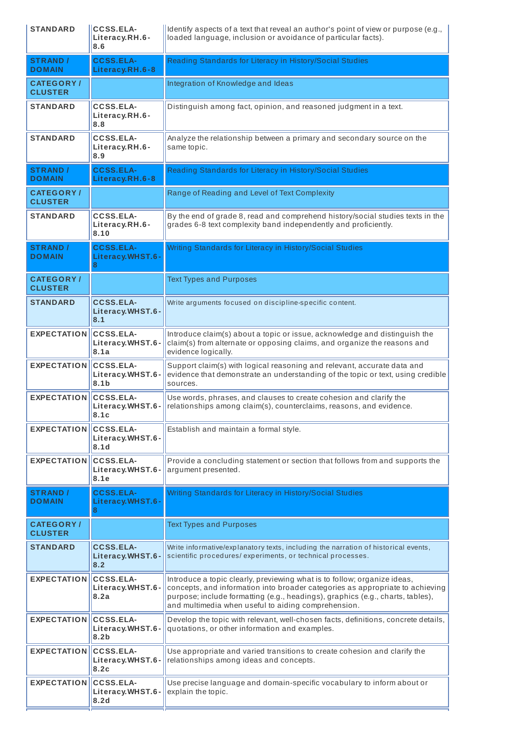| <b>STANDARD</b>                    | <b>CCSS.ELA-</b><br>Literacy.RH.6-<br>8.6                | Identify aspects of a text that reveal an author's point of view or purpose (e.g.,<br>loaded language, inclusion or avoidance of particular facts).                                                                                                                                                |
|------------------------------------|----------------------------------------------------------|----------------------------------------------------------------------------------------------------------------------------------------------------------------------------------------------------------------------------------------------------------------------------------------------------|
| <b>STRAND /</b><br><b>DOMAIN</b>   | <b>CCSS.ELA-</b><br>Literacy.RH.6-8                      | Reading Standards for Literacy in History/Social Studies                                                                                                                                                                                                                                           |
| <b>CATEGORY/</b><br><b>CLUSTER</b> |                                                          | Integration of Knowledge and Ideas                                                                                                                                                                                                                                                                 |
| <b>STANDARD</b>                    | <b>CCSS.ELA-</b><br>Literacy.RH.6-<br>8.8                | Distinguish among fact, opinion, and reasoned judgment in a text.                                                                                                                                                                                                                                  |
| <b>STANDARD</b>                    | <b>CCSS.ELA-</b><br>Literacy.RH.6-<br>8.9                | Analyze the relationship between a primary and secondary source on the<br>same topic.                                                                                                                                                                                                              |
| <b>STRAND /</b><br><b>DOMAIN</b>   | <b>CCSS.ELA-</b><br>Literacy.RH.6-8                      | Reading Standards for Literacy in History/Social Studies                                                                                                                                                                                                                                           |
| <b>CATEGORY/</b><br><b>CLUSTER</b> |                                                          | Range of Reading and Level of Text Complexity                                                                                                                                                                                                                                                      |
| <b>STANDARD</b>                    | <b>CCSS.ELA-</b><br>Literacy.RH.6-<br>8.10               | By the end of grade 8, read and comprehend history/social studies texts in the<br>grades 6-8 text complexity band independently and proficiently.                                                                                                                                                  |
| <b>STRAND /</b><br><b>DOMAIN</b>   | <b>CCSS.ELA-</b><br>Literacy.WHST.6-<br>8                | Writing Standards for Literacy in History/Social Studies                                                                                                                                                                                                                                           |
| <b>CATEGORY/</b><br><b>CLUSTER</b> |                                                          | <b>Text Types and Purposes</b>                                                                                                                                                                                                                                                                     |
| <b>STANDARD</b>                    | <b>CCSS.ELA-</b><br>Literacy.WHST.6-<br>8.1              | Write arguments focused on discipline-specific content.                                                                                                                                                                                                                                            |
| <b>EXPECTATION</b>                 | <b>CCSS.ELA-</b><br>Literacy.WHST.6-<br>8.1a             | Introduce claim(s) about a topic or issue, acknowledge and distinguish the<br>claim(s) from alternate or opposing claims, and organize the reasons and<br>evidence logically.                                                                                                                      |
| <b>EXPECTATION</b>                 | <b>CCSS.ELA-</b><br>Literacy.WHST.6-<br>8.1 <sub>b</sub> | Support claim(s) with logical reasoning and relevant, accurate data and<br>evidence that demonstrate an understanding of the topic or text, using credible<br>sources.                                                                                                                             |
| <b>EXPECTATION</b>                 | CCSS.ELA-<br>Literacy.WHST.6-<br> 8.1c                   | Use words, phrases, and clauses to create cohesion and clarify the<br>relationships among claim(s), counterclaims, reasons, and evidence.                                                                                                                                                          |
| <b>EXPECTATION</b>                 | <b>CCSS.ELA-</b><br>Literacy.WHST.6-<br>8.1d             | Establish and maintain a formal style.                                                                                                                                                                                                                                                             |
| <b>EXPECTATION</b>                 | <b>CCSS.ELA-</b><br>Literacy.WHST.6-<br>8.1e             | Provide a concluding statement or section that follows from and supports the<br>argument presented.                                                                                                                                                                                                |
| <b>STRAND /</b><br><b>DOMAIN</b>   | <b>CCSS.ELA-</b><br>Literacy.WHST.6-<br>8                | Writing Standards for Literacy in History/Social Studies                                                                                                                                                                                                                                           |
| <b>CATEGORY/</b><br><b>CLUSTER</b> |                                                          | <b>Text Types and Purposes</b>                                                                                                                                                                                                                                                                     |
| <b>STANDARD</b>                    | <b>CCSS.ELA-</b><br>Literacy.WHST.6-<br>8.2              | Write informative/explanatory texts, including the narration of historical events,<br>scientific procedures/experiments, or technical processes.                                                                                                                                                   |
| <b>EXPECTATION</b>                 | <b>CCSS.ELA-</b><br>Literacy.WHST.6-<br>8.2a             | Introduce a topic clearly, previewing what is to follow; organize ideas,<br>concepts, and information into broader categories as appropriate to achieving<br>purpose; include formatting (e.g., headings), graphics (e.g., charts, tables),<br>and multimedia when useful to aiding comprehension. |
| <b>EXPECTATION</b>                 | <b>CCSS.ELA-</b><br>Literacy.WHST.6-<br>8.2 <sub>b</sub> | Develop the topic with relevant, well-chosen facts, definitions, concrete details,<br>quotations, or other information and examples.                                                                                                                                                               |
| <b>EXPECTATION</b>                 | <b>CCSS.ELA-</b><br>Literacy.WHST.6-<br>8.2c             | Use appropriate and varied transitions to create cohesion and clarify the<br>relationships among ideas and concepts.                                                                                                                                                                               |
| <b>EXPECTATION</b>                 | <b>CCSS.ELA-</b><br>Literacy.WHST.6-<br>8.2 <sub>d</sub> | Use precise language and domain-specific vocabulary to inform about or<br>explain the topic.                                                                                                                                                                                                       |